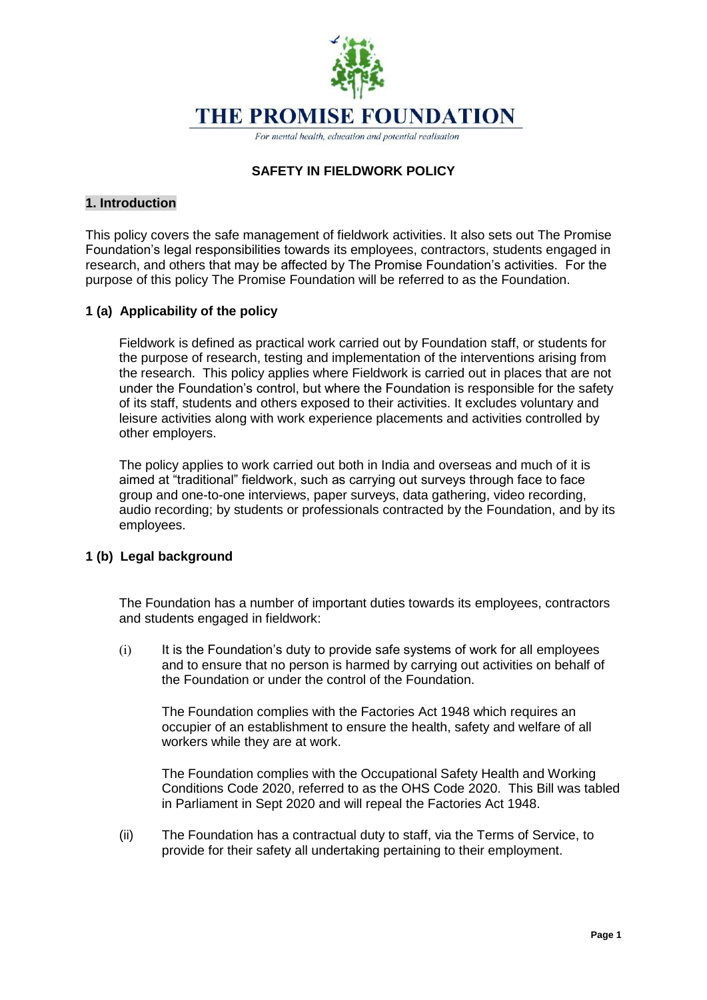

# **SAFETY IN FIELDWORK POLICY**

### **1. Introduction**

This policy covers the safe management of fieldwork activities. It also sets out The Promise Foundation's legal responsibilities towards its employees, contractors, students engaged in research, and others that may be affected by The Promise Foundation's activities. For the purpose of this policy The Promise Foundation will be referred to as the Foundation.

## **1 (a) Applicability of the policy**

Fieldwork is defined as practical work carried out by Foundation staff, or students for the purpose of research, testing and implementation of the interventions arising from the research. This policy applies where Fieldwork is carried out in places that are not under the Foundation's control, but where the Foundation is responsible for the safety of its staff, students and others exposed to their activities. It excludes voluntary and leisure activities along with work experience placements and activities controlled by other employers.

The policy applies to work carried out both in India and overseas and much of it is aimed at "traditional" fieldwork, such as carrying out surveys through face to face group and one-to-one interviews, paper surveys, data gathering, video recording, audio recording; by students or professionals contracted by the Foundation, and by its employees.

### **1 (b) Legal background**

The Foundation has a number of important duties towards its employees, contractors and students engaged in fieldwork:

(i) It is the Foundation's duty to provide safe systems of work for all employees and to ensure that no person is harmed by carrying out activities on behalf of the Foundation or under the control of the Foundation.

The Foundation complies with the Factories Act 1948 which requires an occupier of an establishment to ensure the health, safety and welfare of all workers while they are at work.

The Foundation complies with the Occupational Safety Health and Working Conditions Code 2020, referred to as the OHS Code 2020. This Bill was tabled in Parliament in Sept 2020 and will repeal the Factories Act 1948.

(ii) The Foundation has a contractual duty to staff, via the Terms of Service, to provide for their safety all undertaking pertaining to their employment.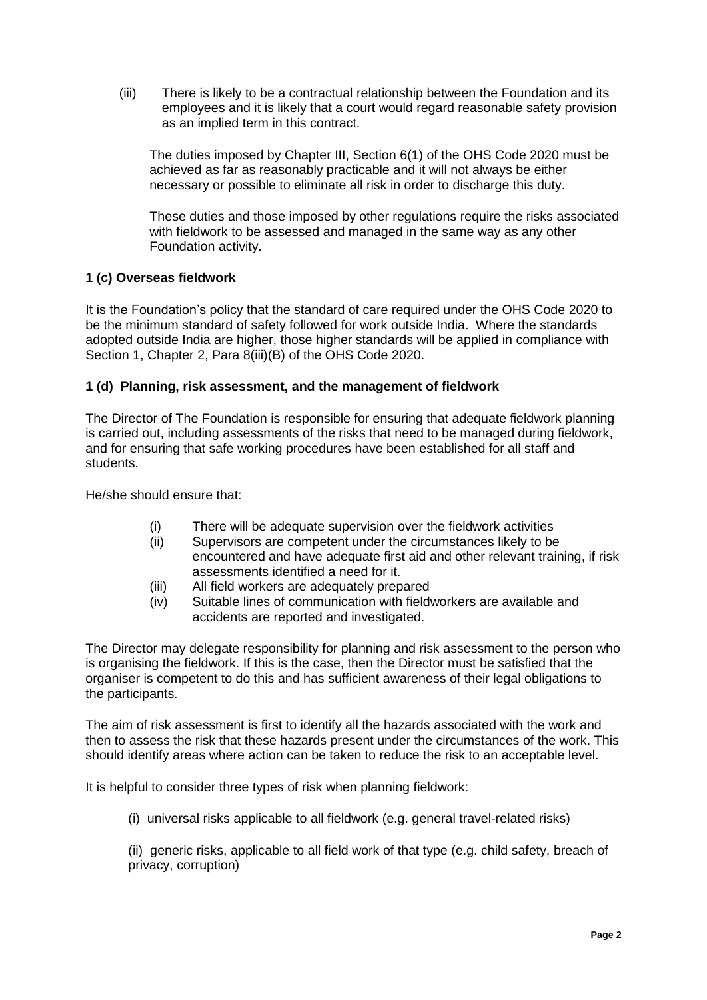(iii) There is likely to be a contractual relationship between the Foundation and its employees and it is likely that a court would regard reasonable safety provision as an implied term in this contract.

The duties imposed by Chapter III, Section 6(1) of the OHS Code 2020 must be achieved as far as reasonably practicable and it will not always be either necessary or possible to eliminate all risk in order to discharge this duty.

These duties and those imposed by other regulations require the risks associated with fieldwork to be assessed and managed in the same way as any other Foundation activity.

# **1 (c) Overseas fieldwork**

It is the Foundation's policy that the standard of care required under the OHS Code 2020 to be the minimum standard of safety followed for work outside India. Where the standards adopted outside India are higher, those higher standards will be applied in compliance with Section 1, Chapter 2, Para 8(iii)(B) of the OHS Code 2020.

## **1 (d) Planning, risk assessment, and the management of fieldwork**

The Director of The Foundation is responsible for ensuring that adequate fieldwork planning is carried out, including assessments of the risks that need to be managed during fieldwork, and for ensuring that safe working procedures have been established for all staff and students.

He/she should ensure that:

- (i) There will be adequate supervision over the fieldwork activities
- (ii) Supervisors are competent under the circumstances likely to be encountered and have adequate first aid and other relevant training, if risk assessments identified a need for it.
- (iii) All field workers are adequately prepared
- (iv) Suitable lines of communication with fieldworkers are available and accidents are reported and investigated.

The Director may delegate responsibility for planning and risk assessment to the person who is organising the fieldwork. If this is the case, then the Director must be satisfied that the organiser is competent to do this and has sufficient awareness of their legal obligations to the participants.

The aim of risk assessment is first to identify all the hazards associated with the work and then to assess the risk that these hazards present under the circumstances of the work. This should identify areas where action can be taken to reduce the risk to an acceptable level.

It is helpful to consider three types of risk when planning fieldwork:

(i) universal risks applicable to all fieldwork (e.g. general travel-related risks)

(ii) generic risks, applicable to all field work of that type (e.g. child safety, breach of privacy, corruption)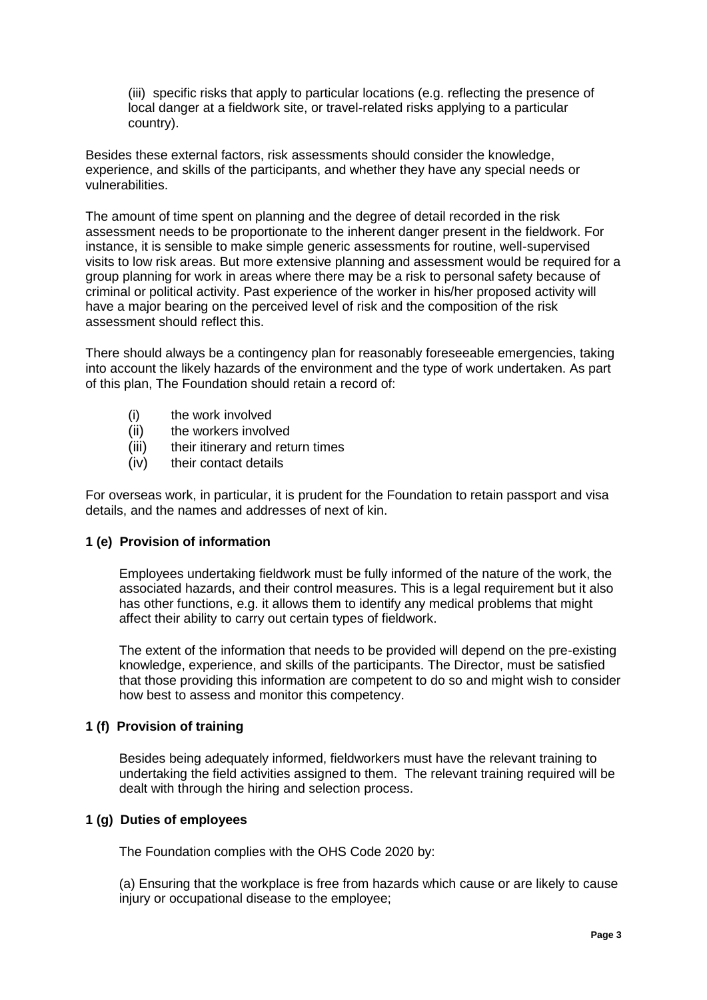(iii) specific risks that apply to particular locations (e.g. reflecting the presence of local danger at a fieldwork site, or travel-related risks applying to a particular country).

Besides these external factors, risk assessments should consider the knowledge, experience, and skills of the participants, and whether they have any special needs or vulnerabilities.

The amount of time spent on planning and the degree of detail recorded in the risk assessment needs to be proportionate to the inherent danger present in the fieldwork. For instance, it is sensible to make simple generic assessments for routine, well-supervised visits to low risk areas. But more extensive planning and assessment would be required for a group planning for work in areas where there may be a risk to personal safety because of criminal or political activity. Past experience of the worker in his/her proposed activity will have a major bearing on the perceived level of risk and the composition of the risk assessment should reflect this.

There should always be a contingency plan for reasonably foreseeable emergencies, taking into account the likely hazards of the environment and the type of work undertaken. As part of this plan, The Foundation should retain a record of:

- (i) the work involved
- (ii) the workers involved
- (iii) their itinerary and return times
- (iv) their contact details

For overseas work, in particular, it is prudent for the Foundation to retain passport and visa details, and the names and addresses of next of kin.

### **1 (e) Provision of information**

Employees undertaking fieldwork must be fully informed of the nature of the work, the associated hazards, and their control measures. This is a legal requirement but it also has other functions, e.g. it allows them to identify any medical problems that might affect their ability to carry out certain types of fieldwork.

The extent of the information that needs to be provided will depend on the pre-existing knowledge, experience, and skills of the participants. The Director, must be satisfied that those providing this information are competent to do so and might wish to consider how best to assess and monitor this competency.

### **1 (f) Provision of training**

Besides being adequately informed, fieldworkers must have the relevant training to undertaking the field activities assigned to them. The relevant training required will be dealt with through the hiring and selection process.

### **1 (g) Duties of employees**

The Foundation complies with the OHS Code 2020 by:

(a) Ensuring that the workplace is free from hazards which cause or are likely to cause injury or occupational disease to the employee;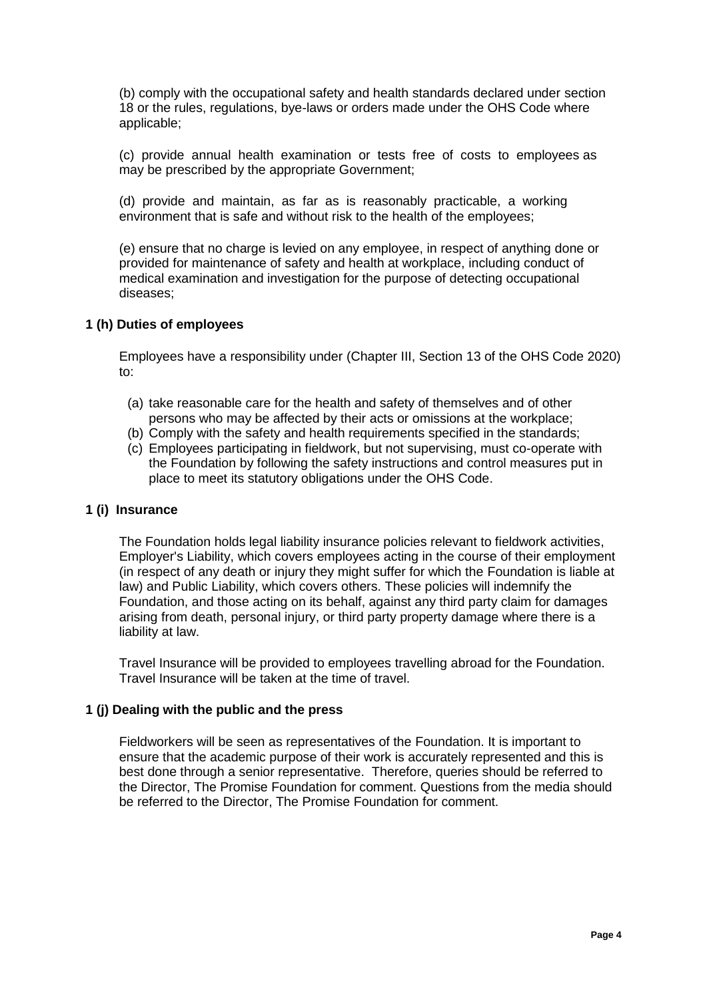(b) comply with the occupational safety and health standards declared under section 18 or the rules, regulations, bye-laws or orders made under the OHS Code where applicable;

(c) provide annual health examination or tests free of costs to employees as may be prescribed by the appropriate Government;

(d) provide and maintain, as far as is reasonably practicable, a working environment that is safe and without risk to the health of the employees;

(e) ensure that no charge is levied on any employee, in respect of anything done or provided for maintenance of safety and health at workplace, including conduct of medical examination and investigation for the purpose of detecting occupational diseases;

### **1 (h) Duties of employees**

Employees have a responsibility under (Chapter III, Section 13 of the OHS Code 2020)  $t \circ$ :

- (a) take reasonable care for the health and safety of themselves and of other persons who may be affected by their acts or omissions at the workplace;
- (b) Comply with the safety and health requirements specified in the standards;
- (c) Employees participating in fieldwork, but not supervising, must co-operate with the Foundation by following the safety instructions and control measures put in place to meet its statutory obligations under the OHS Code.

### **1 (i) Insurance**

The Foundation holds legal liability insurance policies relevant to fieldwork activities, Employer's Liability, which covers employees acting in the course of their employment (in respect of any death or injury they might suffer for which the Foundation is liable at law) and Public Liability, which covers others. These policies will indemnify the Foundation, and those acting on its behalf, against any third party claim for damages arising from death, personal injury, or third party property damage where there is a liability at law.

Travel Insurance will be provided to employees travelling abroad for the Foundation. Travel Insurance will be taken at the time of travel.

### **1 (j) Dealing with the public and the press**

Fieldworkers will be seen as representatives of the Foundation. It is important to ensure that the academic purpose of their work is accurately represented and this is best done through a senior representative. Therefore, queries should be referred to the Director, The Promise Foundation for comment. Questions from the media should be referred to the Director, The Promise Foundation for comment.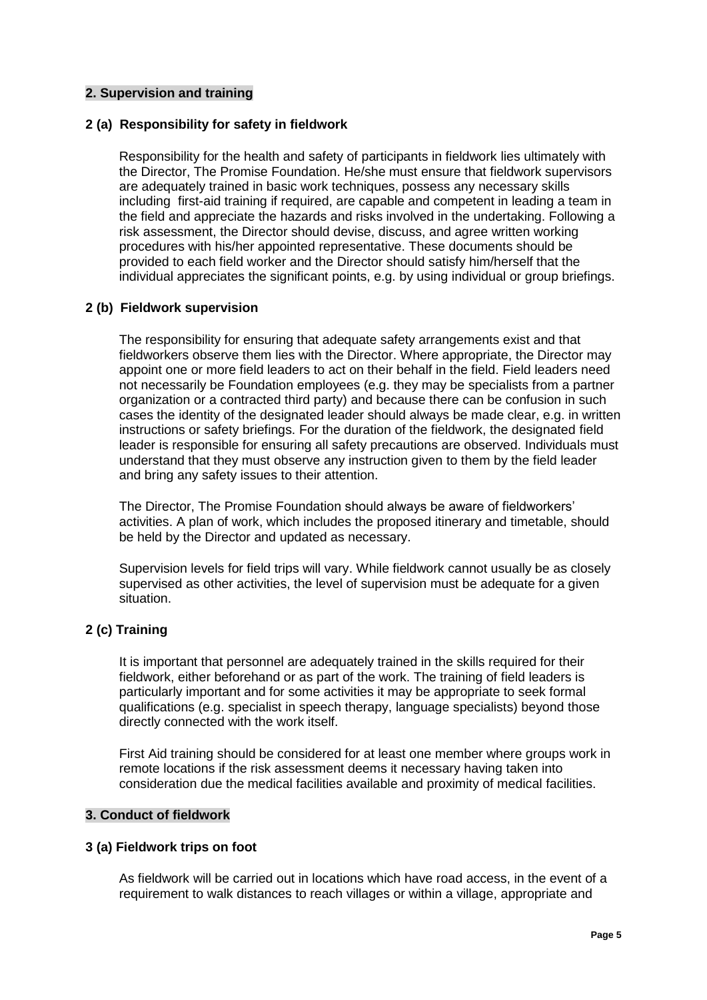### **2. Supervision and training**

### **2 (a) Responsibility for safety in fieldwork**

Responsibility for the health and safety of participants in fieldwork lies ultimately with the Director, The Promise Foundation. He/she must ensure that fieldwork supervisors are adequately trained in basic work techniques, possess any necessary skills including first-aid training if required, are capable and competent in leading a team in the field and appreciate the hazards and risks involved in the undertaking. Following a risk assessment, the Director should devise, discuss, and agree written working procedures with his/her appointed representative. These documents should be provided to each field worker and the Director should satisfy him/herself that the individual appreciates the significant points, e.g. by using individual or group briefings.

### **2 (b) Fieldwork supervision**

The responsibility for ensuring that adequate safety arrangements exist and that fieldworkers observe them lies with the Director. Where appropriate, the Director may appoint one or more field leaders to act on their behalf in the field. Field leaders need not necessarily be Foundation employees (e.g. they may be specialists from a partner organization or a contracted third party) and because there can be confusion in such cases the identity of the designated leader should always be made clear, e.g. in written instructions or safety briefings. For the duration of the fieldwork, the designated field leader is responsible for ensuring all safety precautions are observed. Individuals must understand that they must observe any instruction given to them by the field leader and bring any safety issues to their attention.

The Director, The Promise Foundation should always be aware of fieldworkers' activities. A plan of work, which includes the proposed itinerary and timetable, should be held by the Director and updated as necessary.

Supervision levels for field trips will vary. While fieldwork cannot usually be as closely supervised as other activities, the level of supervision must be adequate for a given situation.

## **2 (c) Training**

It is important that personnel are adequately trained in the skills required for their fieldwork, either beforehand or as part of the work. The training of field leaders is particularly important and for some activities it may be appropriate to seek formal qualifications (e.g. specialist in speech therapy, language specialists) beyond those directly connected with the work itself.

First Aid training should be considered for at least one member where groups work in remote locations if the risk assessment deems it necessary having taken into consideration due the medical facilities available and proximity of medical facilities.

### **3. Conduct of fieldwork**

### **3 (a) Fieldwork trips on foot**

As fieldwork will be carried out in locations which have road access, in the event of a requirement to walk distances to reach villages or within a village, appropriate and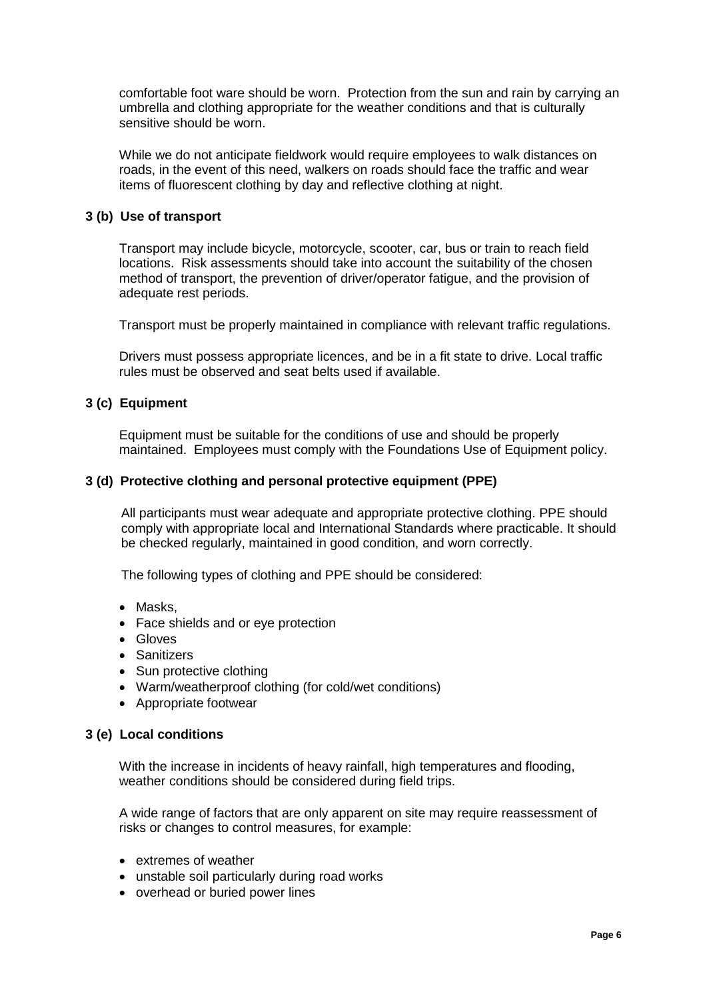comfortable foot ware should be worn. Protection from the sun and rain by carrying an umbrella and clothing appropriate for the weather conditions and that is culturally sensitive should be worn.

While we do not anticipate fieldwork would require employees to walk distances on roads, in the event of this need, walkers on roads should face the traffic and wear items of fluorescent clothing by day and reflective clothing at night.

### **3 (b) Use of transport**

Transport may include bicycle, motorcycle, scooter, car, bus or train to reach field locations. Risk assessments should take into account the suitability of the chosen method of transport, the prevention of driver/operator fatigue, and the provision of adequate rest periods.

Transport must be properly maintained in compliance with relevant traffic regulations.

Drivers must possess appropriate licences, and be in a fit state to drive. Local traffic rules must be observed and seat belts used if available.

### **3 (c) Equipment**

Equipment must be suitable for the conditions of use and should be properly maintained. Employees must comply with the Foundations Use of Equipment policy.

### **3 (d) Protective clothing and personal protective equipment (PPE)**

All participants must wear adequate and appropriate protective clothing. PPE should comply with appropriate local and International Standards where practicable. It should be checked regularly, maintained in good condition, and worn correctly.

The following types of clothing and PPE should be considered:

- Masks.
- Face shields and or eye protection
- Gloves
- Sanitizers
- Sun protective clothing
- Warm/weatherproof clothing (for cold/wet conditions)
- Appropriate footwear

## **3 (e) Local conditions**

With the increase in incidents of heavy rainfall, high temperatures and flooding, weather conditions should be considered during field trips.

A wide range of factors that are only apparent on site may require reassessment of risks or changes to control measures, for example:

- extremes of weather
- unstable soil particularly during road works
- overhead or buried power lines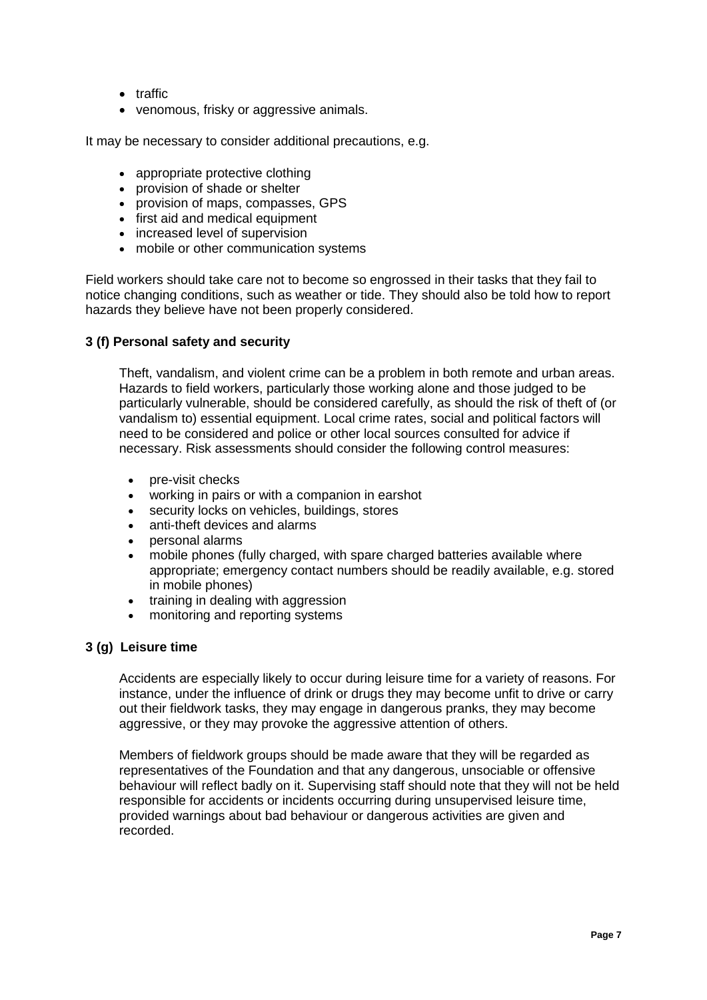- traffic
- venomous, frisky or aggressive animals.

It may be necessary to consider additional precautions, e.g.

- appropriate protective clothing
- provision of shade or shelter
- provision of maps, compasses, GPS
- first aid and medical equipment
- increased level of supervision
- mobile or other communication systems

Field workers should take care not to become so engrossed in their tasks that they fail to notice changing conditions, such as weather or tide. They should also be told how to report hazards they believe have not been properly considered.

### **3 (f) Personal safety and security**

Theft, vandalism, and violent crime can be a problem in both remote and urban areas. Hazards to field workers, particularly those working alone and those judged to be particularly vulnerable, should be considered carefully, as should the risk of theft of (or vandalism to) essential equipment. Local crime rates, social and political factors will need to be considered and police or other local sources consulted for advice if necessary. Risk assessments should consider the following control measures:

- pre-visit checks
- working in pairs or with a companion in earshot
- security locks on vehicles, buildings, stores
- anti-theft devices and alarms
- personal alarms
- mobile phones (fully charged, with spare charged batteries available where appropriate; emergency contact numbers should be readily available, e.g. stored in mobile phones)
- training in dealing with aggression
- monitoring and reporting systems

## **3 (g) Leisure time**

Accidents are especially likely to occur during leisure time for a variety of reasons. For instance, under the influence of drink or drugs they may become unfit to drive or carry out their fieldwork tasks, they may engage in dangerous pranks, they may become aggressive, or they may provoke the aggressive attention of others.

Members of fieldwork groups should be made aware that they will be regarded as representatives of the Foundation and that any dangerous, unsociable or offensive behaviour will reflect badly on it. Supervising staff should note that they will not be held responsible for accidents or incidents occurring during unsupervised leisure time, provided warnings about bad behaviour or dangerous activities are given and recorded.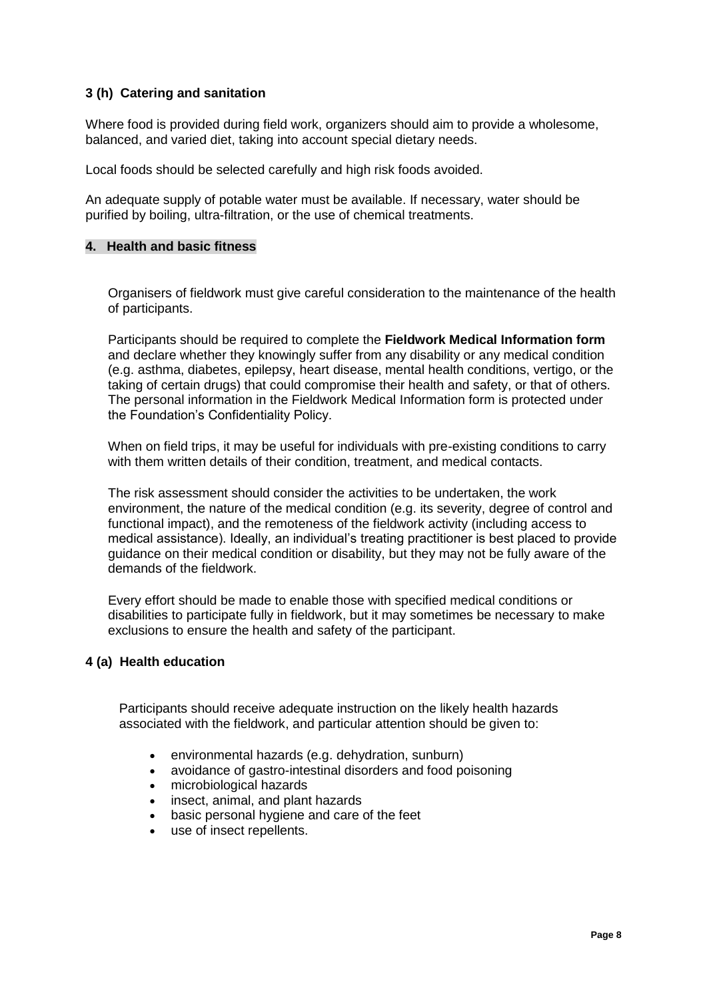# **3 (h) Catering and sanitation**

Where food is provided during field work, organizers should aim to provide a wholesome, balanced, and varied diet, taking into account special dietary needs.

Local foods should be selected carefully and high risk foods avoided.

An adequate supply of potable water must be available. If necessary, water should be purified by boiling, ultra-filtration, or the use of chemical treatments.

### **4. Health and basic fitness**

Organisers of fieldwork must give careful consideration to the maintenance of the health of participants.

Participants should be required to complete the **Fieldwork Medical Information form** and declare whether they knowingly suffer from any disability or any medical condition (e.g. asthma, diabetes, epilepsy, heart disease, mental health conditions, vertigo, or the taking of certain drugs) that could compromise their health and safety, or that of others. The personal information in the Fieldwork Medical Information form is protected under the Foundation's Confidentiality Policy.

When on field trips, it may be useful for individuals with pre-existing conditions to carry with them written details of their condition, treatment, and medical contacts.

The risk assessment should consider the activities to be undertaken, the work environment, the nature of the medical condition (e.g. its severity, degree of control and functional impact), and the remoteness of the fieldwork activity (including access to medical assistance). Ideally, an individual's treating practitioner is best placed to provide guidance on their medical condition or disability, but they may not be fully aware of the demands of the fieldwork.

Every effort should be made to enable those with specified medical conditions or disabilities to participate fully in fieldwork, but it may sometimes be necessary to make exclusions to ensure the health and safety of the participant.

## **4 (a) Health education**

Participants should receive adequate instruction on the likely health hazards associated with the fieldwork, and particular attention should be given to:

- environmental hazards (e.g. dehydration, sunburn)
- avoidance of gastro-intestinal disorders and food poisoning
- microbiological hazards
- insect, animal, and plant hazards
- basic personal hygiene and care of the feet
- use of insect repellents.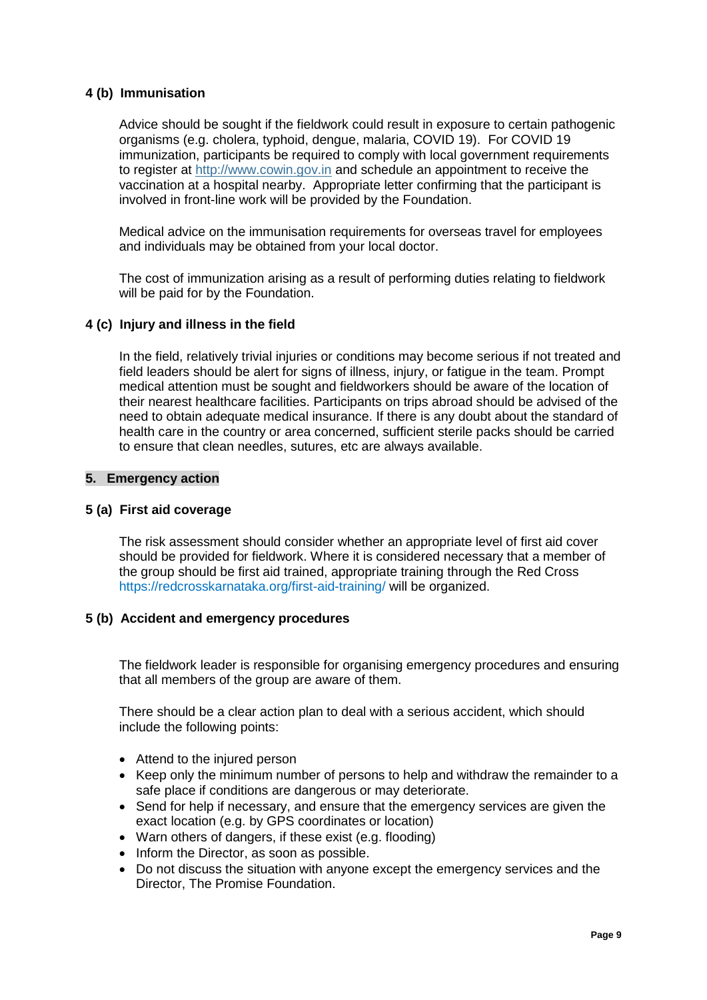# **4 (b) Immunisation**

Advice should be sought if the fieldwork could result in exposure to certain pathogenic organisms (e.g. cholera, typhoid, dengue, malaria, COVID 19). For COVID 19 immunization, participants be required to comply with local government requirements to register at [http://www.cowin.gov.in](http://www.cowin.gov.in/) and schedule an appointment to receive the vaccination at a hospital nearby. Appropriate letter confirming that the participant is involved in front-line work will be provided by the Foundation.

Medical advice on the immunisation requirements for overseas travel for employees and individuals may be obtained from your local doctor.

The cost of immunization arising as a result of performing duties relating to fieldwork will be paid for by the Foundation.

### **4 (c) Injury and illness in the field**

In the field, relatively trivial injuries or conditions may become serious if not treated and field leaders should be alert for signs of illness, injury, or fatigue in the team. Prompt medical attention must be sought and fieldworkers should be aware of the location of their nearest healthcare facilities. Participants on trips abroad should be advised of the need to obtain adequate medical insurance. If there is any doubt about the standard of health care in the country or area concerned, sufficient sterile packs should be carried to ensure that clean needles, sutures, etc are always available.

### **5. Emergency action**

## **5 (a) First aid coverage**

The risk assessment should consider whether an appropriate level of first aid cover should be provided for fieldwork. Where it is considered necessary that a member of the group should be first aid trained, appropriate training through the Red Cross https://redcrosskarnataka.org/first-aid-training/ will be organized.

## **5 (b) Accident and emergency procedures**

The fieldwork leader is responsible for organising emergency procedures and ensuring that all members of the group are aware of them.

There should be a clear action plan to deal with a serious accident, which should include the following points:

- Attend to the injured person
- Keep only the minimum number of persons to help and withdraw the remainder to a safe place if conditions are dangerous or may deteriorate.
- Send for help if necessary, and ensure that the emergency services are given the exact location (e.g. by GPS coordinates or location)
- Warn others of dangers, if these exist (e.g. flooding)
- Inform the Director, as soon as possible.
- Do not discuss the situation with anyone except the emergency services and the Director, The Promise Foundation.